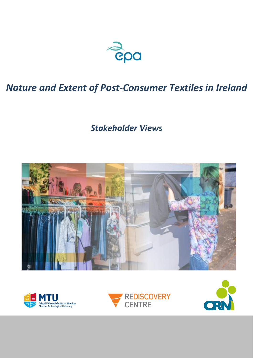

# *Nature and Extent of Post-Consumer Textiles in Ireland*

*Stakeholder Views*







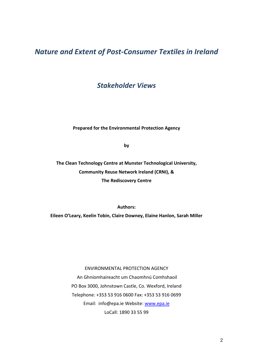## *Nature and Extent of Post-Consumer Textiles in Ireland*

*Stakeholder Views*

**Prepared for the Environmental Protection Agency**

**by**

**The Clean Technology Centre at Munster Technological University, Community Reuse Network Ireland (CRNI), & The Rediscovery Centre**

**Authors:** 

**Eileen O'Leary, Keelin Tobin, Claire Downey, Elaine Hanlon, Sarah Miller**

## ENVIRONMENTAL PROTECTION AGENCY

An Ghníomhaireacht um Chaomhnú Comhshaoil PO Box 3000, Johnstown Castle, Co. Wexford, Ireland Telephone: +353 53 916 0600 Fax: +353 53 916 0699 Email: info@epa.ie Website: [www.epa.ie](http://www.epa.ie/) LoCall: 1890 33 55 99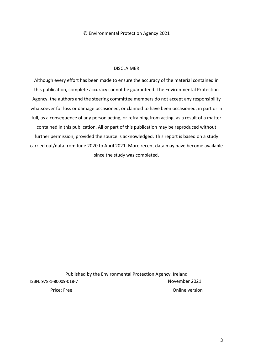© Environmental Protection Agency 2021

## DISCLAIMER

Although every effort has been made to ensure the accuracy of the material contained in this publication, complete accuracy cannot be guaranteed. The Environmental Protection Agency, the authors and the steering committee members do not accept any responsibility whatsoever for loss or damage occasioned, or claimed to have been occasioned, in part or in full, as a consequence of any person acting, or refraining from acting, as a result of a matter contained in this publication. All or part of this publication may be reproduced without further permission, provided the source is acknowledged. This report is based on a study carried out/data from June 2020 to April 2021. More recent data may have become available since the study was completed.

Published by the Environmental Protection Agency, Ireland ISBN: 978-1-80009-018-7 November 2021 Price: Free Online version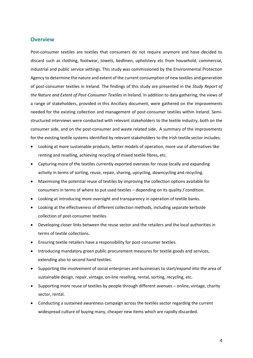## **Overview**

Post-consumer textiles are textiles that consumers do not require anymore and have decided to discard such as clothing, footwear, towels, bedlinen, upholstery etc from household, commercial, industrial and public service settings. This study was commissioned by the Environmental Protection Agency to determine the nature and extent of the current consumption of new textiles and generation of post-consumer textiles in Ireland. The findings of this study are presented in the *Study Report of the Nature and Extent of Post-Consumer Textiles* in Ireland. In addition to data gathering, the views of a range of stakeholders, provided in this Ancillary document, were gathered on the improvements needed for the existing collection and management of post-consumer textiles within Ireland. Semistructured interviews were conducted with relevant stakeholders to the textile industry, both on the consumer side, and on the post-consumer and waste related side. A summary of the improvements for the existing textile systems identified by relevant stakeholders to the Irish textile sector includes:

- Looking at more sustainable products, better models of operation, more use of alternatives like renting and reselling, achieving recycling of mixed textile fibres, etc.
- Capturing more of the textiles currently exported overseas for reuse locally and expanding activity in terms of sorting, reuse, repair, sharing, upcycling, downcycling and recycling.
- Maximising the potential reuse of textiles by improving the collection options available for consumers in terms of where to put used textiles – depending on its quality / condition.
- Looking at introducing more oversight and transparency in operation of textile banks.
- Looking at the effectiveness of different collection methods, including separate kerbside collection of post-consumer textiles.
- Developing closer links between the reuse sector and the retailers and the local authorities in terms of textile collections.
- Ensuring textile retailers have a responsibility for post-consumer textiles.
- Introducing mandatory green public procurement measures for textile goods and services, extending also to second hand textiles.
- Supporting the involvement of social enterprises and businesses to start/expand into the area of sustainable design, repair, vintage, on-line reselling, rental, sorting, recycling, etc.
- Supporting more reuse of textiles by people through different avenues online, vintage, charity sector, rental.
- Conducting a sustained awareness campaign across the textiles sector regarding the current widespread culture of buying many, cheaper new items which are rapidly discarded.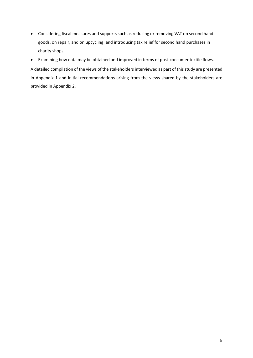- Considering fiscal measures and supports such as reducing or removing VAT on second hand goods, on repair, and on upcycling; and introducing tax relief for second hand purchases in charity shops*.*
- Examining how data may be obtained and improved in terms of post-consumer textile flows.

A detailed compilation of the views of the stakeholders interviewed as part of this study are presented in Appendix 1 and initial recommendations arising from the views shared by the stakeholders are provided in Appendix 2.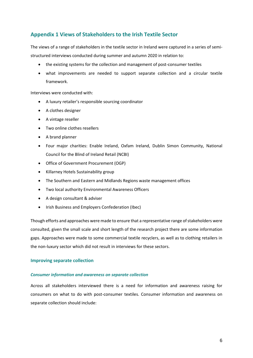## **Appendix 1 Views of Stakeholders to the Irish Textile Sector**

The views of a range of stakeholders in the textile sector in Ireland were captured in a series of semistructured interviews conducted during summer and autumn 2020 in relation to:

- the existing systems for the collection and management of post-consumer textiles
- what improvements are needed to support separate collection and a circular textile framework.

Interviews were conducted with:

- A luxury retailer's responsible sourcing coordinator
- A clothes designer
- A vintage reseller
- Two online clothes resellers
- A brand planner
- Four major charities: Enable Ireland, Oxfam Ireland, Dublin Simon Community, National Council for the Blind of Ireland Retail (NCBI)
- Office of Government Procurement (OGP)
- Killarney Hotels Sustainability group
- The Southern and Eastern and Midlands Regions waste management offices
- Two local authority Environmental Awareness Officers
- A design consultant & adviser
- Irish Business and Employers Confederation (Ibec)

Though efforts and approaches were made to ensure that a representative range of stakeholders were consulted, given the small scale and short length of the research project there are some information gaps. Approaches were made to some commercial textile recyclers, as well as to clothing retailers in the non-luxury sector which did not result in interviews for these sectors.

#### **Improving separate collection**

#### *Consumer information and awareness on separate collection*

Across all stakeholders interviewed there is a need for information and awareness raising for consumers on what to do with post-consumer textiles. Consumer information and awareness on separate collection should include: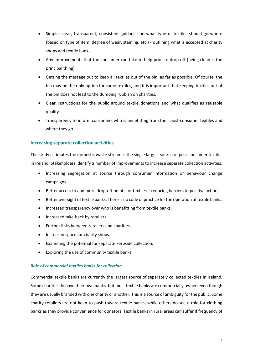- Simple, clear, transparent, consistent guidance on what type of textiles should go where (based on type of item, degree of wear, staining, etc.) - outlining what is accepted at charity shops and textile banks.
- Any improvements that the consumer can take to help prior to drop off (being clean is the principal thing).
- Getting the message out to keep all textiles out of the bin, as far as possible. Of course, the bin may be the only option for some textiles, and it is important that keeping textiles out of the bin does not lead to the dumping rubbish on charities.
- Clear instructions for the public around textile donations and what qualifies as reusable quality.
- Transparency to inform consumers who is benefitting from their post-consumer textiles and where they go.

#### **Increasing separate collection activities**

The study estimates the domestic waste stream is the single largest source of post-consumer textiles in Ireland. Stakeholders identify a number of improvements to increase separate collection activities:

- Increasing segregation at source through consumer information or behaviour change campaigns.
- Better access to and more drop-off points for textiles reducing barriers to positive actions.
- Better oversight of textile banks. There is no code of practice for the operation of textile banks.
- Increased transparency over who is benefitting from textile banks.
- Increased take-back by retailers.
- Further links between retailers and charities.
- Increased space for charity shops.
- Examining the potential for separate kerbside collection.
- Exploring the use of community textile banks.

#### *Role of commercial textiles banks for collection*

Commercial textile banks are currently the largest source of separately collected textiles in Ireland. Some charities do have their own banks, but most textile banks are commercially owned even though they are usually branded with one charity or another. This is a source of ambiguity for the public. Some charity retailers are not keen to push toward textile banks, while others do see a role for clothing banks as they provide convenience for donators. Textile banks in rural areas can suffer if frequency of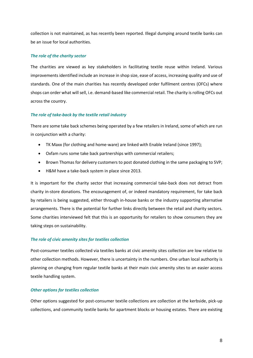collection is not maintained, as has recently been reported. Illegal dumping around textile banks can be an issue for local authorities.

#### *The role of the charity sector*

The charities are viewed as key stakeholders in facilitating textile reuse within Ireland. Various improvements identified include an increase in shop size, ease of access, increasing quality and use of standards. One of the main charities has recently developed order fulfilment centres (OFCs) where shops can order what will sell, i.e. demand-based like commercial retail. The charity is rolling OFCs out across the country.

#### *The role of take-back by the textile retail industry*

There are some take back schemes being operated by a few retailers in Ireland, some of which are run in conjunction with a charity:

- TK Maxx (for clothing and home-ware) are linked with Enable Ireland (since 1997);
- Oxfam runs some take back partnerships with commercial retailers;
- Brown Thomas for delivery customers to post donated clothing in the same packaging to SVP;
- H&M have a take-back system in place since 2013.

It is important for the charity sector that increasing commercial take-back does not detract from charity in-store donations. The encouragement of, or indeed mandatory requirement, for take back by retailers is being suggested, either through in-house banks or the industry supporting alternative arrangements. There is the potential for further links directly between the retail and charity sectors. Some charities interviewed felt that this is an opportunity for retailers to show consumers they are taking steps on sustainability.

#### *The role of civic amenity sites for textiles collection*

Post-consumer textiles collected via textiles banks at civic amenity sites collection are low relative to other collection methods. However, there is uncertainty in the numbers. One urban local authority is planning on changing from regular textile banks at their main civic amenity sites to an easier access textile handling system.

#### *Other options for textiles collection*

Other options suggested for post-consumer textile collections are collection at the kerbside, pick-up collections, and community textile banks for apartment blocks or housing estates. There are existing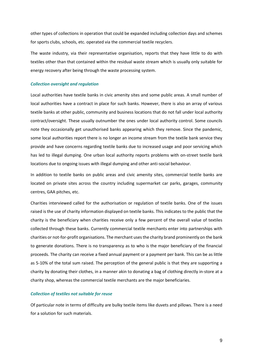other types of collections in operation that could be expanded including collection days and schemes for sports clubs, schools, etc. operated via the commercial textile recyclers.

The waste industry, via their representative organisation, reports that they have little to do with textiles other than that contained within the residual waste stream which is usually only suitable for energy recovery after being through the waste processing system.

#### *Collection oversight and regulation*

Local authorities have textile banks in civic amenity sites and some public areas. A small number of local authorities have a contract in place for such banks. However, there is also an array of various textile banks at other public, community and business locations that do not fall under local authority contract/oversight. These usually outnumber the ones under local authority control. Some councils note they occasionally get unauthorised banks appearing which they remove. Since the pandemic, some local authorities report there is no longer an income stream from the textile bank service they provide and have concerns regarding textile banks due to increased usage and poor servicing which has led to illegal dumping. One urban local authority reports problems with on-street textile bank locations due to ongoing issues with illegal dumping and other anti-social behaviour.

In addition to textile banks on public areas and civic amenity sites, commercial textile banks are located on private sites across the country including supermarket car parks, garages, community centres, GAA pitches, etc.

Charities interviewed called for the authorisation or regulation of textile banks. One of the issues raised is the use of charity information displayed on textile banks. This indicates to the public that the charity is the beneficiary when charities receive only a few percent of the overall value of textiles collected through these banks. Currently commercial textile merchants enter into partnerships with charities or not-for-profit organisations. The merchant uses the charity brand prominently on the bank to generate donations. There is no transparency as to who is the major beneficiary of the financial proceeds. The charity can receive a fixed annual payment or a payment per bank. This can be as little as 5-10% of the total sum raised. The perception of the general public is that they are supporting a charity by donating their clothes, in a manner akin to donating a bag of clothing directly in-store at a charity shop, whereas the commercial textile merchants are the major beneficiaries.

#### *Collection of textiles not suitable for reuse*

Of particular note in terms of difficulty are bulky textile items like duvets and pillows. There is a need for a solution for such materials.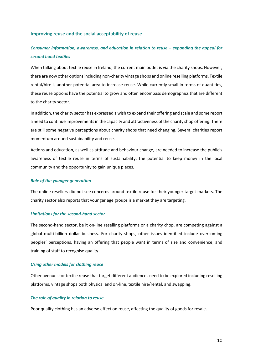#### **Improving reuse and the social acceptability of reuse**

## *Consumer information, awareness, and education in relation to reuse – expanding the appeal for second hand textiles*

When talking about textile reuse in Ireland, the current main outlet is via the charity shops. However, there are now other options including non-charity vintage shops and online reselling platforms. Textile rental/hire is another potential area to increase reuse. While currently small in terms of quantities, these reuse options have the potential to grow and often encompass demographics that are different to the charity sector.

In addition, the charity sector has expressed a wish to expand their offering and scale and some report a need to continue improvements in the capacity and attractiveness of the charity shop offering. There are still some negative perceptions about charity shops that need changing. Several charities report momentum around sustainability and reuse.

Actions and education, as well as attitude and behaviour change, are needed to increase the public's awareness of textile reuse in terms of sustainability, the potential to keep money in the local community and the opportunity to gain unique pieces.

#### *Role of the younger generation*

The online resellers did not see concerns around textile reuse for their younger target markets. The charity sector also reports that younger age groups is a market they are targeting.

#### *Limitations for the second-hand sector*

The second-hand sector, be it on-line reselling platforms or a charity chop, are competing against a global multi-billion dollar business. For charity shops, other issues identified include overcoming peoples' perceptions, having an offering that people want in terms of size and convenience, and training of staff to recognise quality.

#### *Using other models for clothing reuse*

Other avenues for textile reuse that target different audiences need to be explored including reselling platforms, vintage shops both physical and on-line, textile hire/rental, and swapping.

#### *The role of quality in relation to reuse*

Poor quality clothing has an adverse effect on reuse, affecting the quality of goods for resale.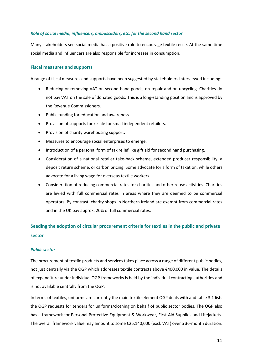#### *Role of social media, influencers, ambassadors, etc. for the second hand sector*

Many stakeholders see social media has a positive role to encourage textile reuse. At the same time social media and influencers are also responsible for increases in consumption.

#### **Fiscal measures and supports**

A range of fiscal measures and supports have been suggested by stakeholders interviewed including:

- Reducing or removing VAT on second-hand goods, on repair and on upcycling. Charities do not pay VAT on the sale of donated goods. This is a long-standing position and is approved by the Revenue Commissioners.
- Public funding for education and awareness.
- Provision of supports for resale for small independent retailers.
- Provision of charity warehousing support.
- Measures to encourage social enterprises to emerge.
- Introduction of a personal form of tax relief like gift aid for second hand purchasing.
- Consideration of a national retailer take-back scheme, extended producer responsibility, a deposit return scheme, or carbon pricing. Some advocate for a form of taxation, while others advocate for a living wage for overseas textile workers.
- Consideration of reducing commercial rates for charities and other reuse activities. Charities are levied with full commercial rates in areas where they are deemed to be commercial operators. By contrast, charity shops in Northern Ireland are exempt from commercial rates and in the UK pay approx. 20% of full commercial rates.

## **Seeding the adoption of circular procurement criteria for textiles in the public and private sector**

#### *Public sector*

The procurement of textile products and services takes place across a range of different public bodies, not just centrally via the OGP which addresses textile contracts above €400,000 in value. The details of expenditure under individual OGP frameworks is held by the individual contracting authorities and is not available centrally from the OGP.

In terms of textiles, uniforms are currently the main textile element OGP deals with and table 3.1 lists the OGP requests for tenders for uniforms/clothing on behalf of public sector bodies. The OGP also has a framework for Personal Protective Equipment & Workwear, First Aid Supplies and Lifejackets. The overall framework value may amount to some €25,140,000 (excl. VAT) over a 36-month duration.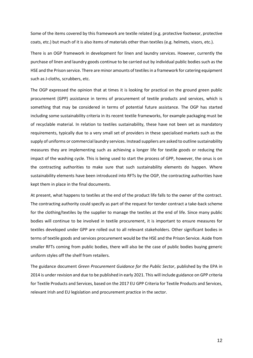Some of the items covered by this framework are textile related (e.g. protective footwear, protective coats, etc.) but much of it is also items of materials other than textiles (e.g. helmets, visors, etc.).

There is an OGP framework in development for linen and laundry services. However, currently the purchase of linen and laundry goods continue to be carried out by individual public bodies such as the HSE and the Prison service. There are minor amounts of textiles in a framework for catering equipment such as J-cloths, scrubbers, etc.

The OGP expressed the opinion that at times it is looking for practical on the ground green public procurement (GPP) assistance in terms of procurement of textile products and services, which is something that may be considered in terms of potential future assistance. The OGP has started including some sustainability criteria in its recent textile frameworks, for example packaging must be of recyclable material. In relation to textiles sustainability, these have not been set as mandatory requirements, typically due to a very small set of providers in these specialised markets such as the supply of uniforms or commercial laundry services. Instead suppliers are asked to outline sustainability measures they are implementing such as achieving a longer life for textile goods or reducing the impact of the washing cycle. This is being used to start the process of GPP, however, the onus is on the contracting authorities to make sure that such sustainability elements do happen. Where sustainability elements have been introduced into RFTs by the OGP, the contracting authorities have kept them in place in the final documents.

At present, what happens to textiles at the end of the product life falls to the owner of the contract. The contracting authority could specify as part of the request for tender contract a take-back scheme for the clothing/textiles by the supplier to manage the textiles at the end of life. Since many public bodies will continue to be involved in textile procurement, it is important to ensure measures for textiles developed under GPP are rolled out to all relevant stakeholders. Other significant bodies in terms of textile goods and services procurement would be the HSE and the Prison Service. Aside from smaller RFTs coming from public bodies, there will also be the case of public bodies buying generic uniform styles off the shelf from retailers.

The guidance document *Green Procurement Guidance for the Public Sector*, published by the EPA in 2014 is under revision and due to be published in early 2021. This will include guidance on GPP criteria for Textile Products and Services, based on the 2017 EU GPP Criteria for Textile Products and Services, relevant Irish and EU legislation and procurement practice in the sector.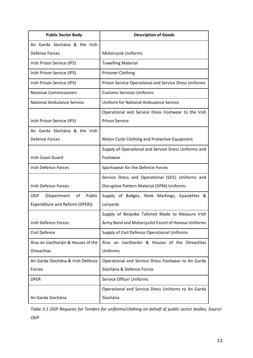| <b>Public Sector Body</b>                 | <b>Description of Goods</b>                           |
|-------------------------------------------|-------------------------------------------------------|
| An Garda Síochána & the Irish             |                                                       |
| Defence Forces                            | Motorcycle Uniforms                                   |
| Irish Prison Service (IPS)                | <b>Towelling Material</b>                             |
| Irish Prison Service (IPS)                | <b>Prisoner Clothing</b>                              |
| Irish Prison Service (IPS)                | Prison Service Operational and Service Dress Uniforms |
| <b>Revenue Commissioners</b>              | <b>Customs Services Uniforms</b>                      |
| <b>National Ambulance Service</b>         | <b>Uniform for National Ambulance Service</b>         |
|                                           | Operational and Service Dress Footwear to the Irish   |
| Irish Prison Service (IPS)                | <b>Prison Service</b>                                 |
| An Garda Síochána & the Irish             |                                                       |
| <b>Defence Forces</b>                     | Motor Cycle Clothing and Protective Equipment         |
|                                           | Supply of Operational and Service Dress Uniforms and  |
| <b>Irish Coast Guard</b>                  | Footwear                                              |
| <b>Irish Defence Forces</b>               | Sportswear for the Defence Forces                     |
|                                           | Service Dress and Operational (SD1) Uniforms and      |
| <b>Irish Defence Forces</b>               | Disruptive Pattern Material (DPM) Uniforms            |
| <b>OGP</b><br>(Department<br>of<br>Public | Supply of Badges, Rank Markings, Epaulettes &         |
| Expenditure and Reform (DPER))            | Lanyards                                              |
|                                           | Supply of Bespoke Tailored Made to Measure Irish      |
| <b>Irish Defence Forces</b>               | Army Band and Motorcyclist Escort of Honour Uniforms  |
| Civil Defence                             | Supply of Civil Defence Operational Uniforms          |
| Áras an Uactharáin & Houses of the        | Áras an Uactharáin & Houses of the Oireachtas         |
| Oireachtas                                | Uniforms                                              |
| An Garda Síochána & Irish Defence         | Operational and Service Dress Footwear to An Garda    |
| Forces                                    | Síochána & Defence Forces                             |
| <b>DPER</b>                               | <b>Service Officer Uniforms</b>                       |
|                                           | Operational and Service Dress Uniforms to An Garda    |
| An Garda Síochána                         | Síochána                                              |

*Table 3.1 OGP Requests for Tenders for uniforms/clothing on behalf of public sector bodies, Source: OGP*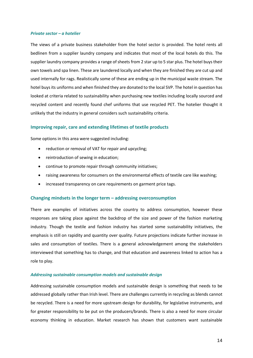#### *Private sector – a hotelier*

The views of a private business stakeholder from the hotel sector is provided. The hotel rents all bedlinen from a supplier laundry company and indicates that most of the local hotels do this. The supplier laundry company provides a range of sheets from 2 star up to 5 star plus. The hotel buys their own towels and spa linen. These are laundered locally and when they are finished they are cut up and used internally for rags. Realistically some of these are ending up in the municipal waste stream. The hotel buys its uniforms and when finished they are donated to the local SVP. The hotel in question has looked at criteria related to sustainability when purchasing new textiles including locally sourced and recycled content and recently found chef uniforms that use recycled PET. The hotelier thought it unlikely that the industry in general considers such sustainability criteria.

#### **Improving repair, care and extending lifetimes of textile products**

Some options in this area were suggested including:

- reduction or removal of VAT for repair and upcycling;
- reintroduction of sewing in education;
- continue to promote repair through community initiatives;
- raising awareness for consumers on the environmental effects of textile care like washing;
- increased transparency on care requirements on garment price tags.

#### **Changing mindsets in the longer term – addressing overconsumption**

There are examples of initiatives across the country to address consumption, however these responses are taking place against the backdrop of the size and power of the fashion marketing industry. Though the textile and fashion industry has started some sustainability initiatives, the emphasis is still on rapidity and quantity over quality. Future projections indicate further increase in sales and consumption of textiles. There is a general acknowledgement among the stakeholders interviewed that something has to change, and that education and awareness linked to action has a role to play.

#### *Addressing sustainable consumption models and sustainable design*

Addressing sustainable consumption models and sustainable design is something that needs to be addressed globally rather than Irish level. There are challenges currently in recycling as blends cannot be recycled. There is a need for more upstream design for durability, for legislative instruments, and for greater responsibility to be put on the producers/brands. There is also a need for more circular economy thinking in education. Market research has shown that customers want sustainable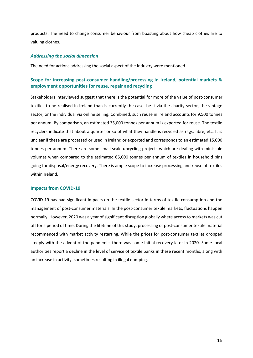products. The need to change consumer behaviour from boasting about how cheap clothes are to valuing clothes.

#### *Addressing the social dimension*

The need for actions addressing the social aspect of the industry were mentioned.

### **Scope for increasing post-consumer handling/processing in Ireland, potential markets & employment opportunities for reuse, repair and recycling**

Stakeholders interviewed suggest that there is the potential for more of the value of post-consumer textiles to be realised in Ireland than is currently the case, be it via the charity sector, the vintage sector, or the individual via online selling. Combined, such reuse in Ireland accounts for 9,500 tonnes per annum. By comparison, an estimated 35,000 tonnes per annum is exported for reuse. The textile recyclers indicate that about a quarter or so of what they handle is recycled as rags, fibre, etc. It is unclear if these are processed or used in Ireland or exported and corresponds to an estimated 15,000 tonnes per annum. There are some small-scale upcycling projects which are dealing with miniscule volumes when compared to the estimated 65,000 tonnes per annum of textiles in household bins going for disposal/energy recovery. There is ample scope to increase processing and reuse of textiles within Ireland.

#### **Impacts from COVID-19**

COVID-19 has had significant impacts on the textile sector in terms of textile consumption and the management of post-consumer materials. In the post-consumer textile markets, fluctuations happen normally. However, 2020 was a year of significant disruption globally where access to markets was cut off for a period of time. During the lifetime of this study, processing of post-consumer textile material recommenced with market activity restarting. While the prices for post-consumer textiles dropped steeply with the advent of the pandemic, there was some initial recovery later in 2020. Some local authorities report a decline in the level of service of textile banks in these recent months, along with an increase in activity, sometimes resulting in illegal dumping.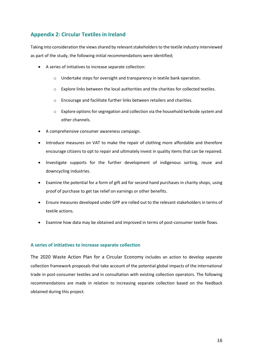## **Appendix 2: Circular Textiles in Ireland**

Taking into consideration the views shared by relevant stakeholders to the textile industry interviewed as part of the study, the following initial recommendations were identified;

- A series of initiatives to increase separate collection:
	- o Undertake steps for oversight and transparency in textile bank operation.
	- o Explore links between the local authorities and the charities for collected textiles.
	- o Encourage and facilitate further links between retailers and charities.
	- o Explore options for segregation and collection via the household kerbside system and other channels.
- A comprehensive consumer awareness campaign.
- Introduce measures on VAT to make the repair of clothing more affordable and therefore encourage citizens to opt to repair and ultimately invest in quality items that can be repaired.
- Investigate supports for the further development of indigenous sorting, reuse and downcycling industries.
- Examine the potential for a form of gift aid for second hand purchases in charity shops, using proof of purchase to get tax relief on earnings or other benefits.
- Ensure measures developed under GPP are rolled out to the relevant stakeholders in terms of textile actions.
- Examine how data may be obtained and improved in terms of post-consumer textile flows.

### **A series of initiatives to increase separate collection**

The 2020 Waste Action Plan for a Circular Economy includes an action to develop separate collection framework proposals that take account of the potential global impacts of the international trade in post-consumer textiles and in consultation with existing collection operators. The following recommendations are made in relation to increasing separate collection based on the feedback obtained during this project.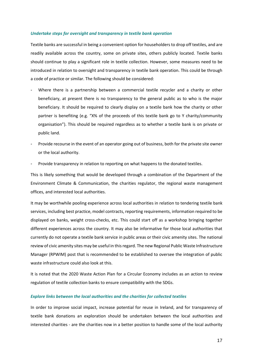#### *Undertake steps for oversight and transparency in textile bank operation*

Textile banks are successful in being a convenient option for householders to drop off textiles, and are readily available across the country, some on private sites, others publicly located. Textile banks should continue to play a significant role in textile collection. However, some measures need to be introduced in relation to oversight and transparency in textile bank operation. This could be through a code of practice or similar. The following should be considered:

- Where there is a partnership between a commercial textile recycler and a charity or other beneficiary, at present there is no transparency to the general public as to who is the major beneficiary. It should be required to clearly display on a textile bank how the charity or other partner is benefiting (e.g. "X% of the proceeds of this textile bank go to Y charity/community organisation"). This should be required regardless as to whether a textile bank is on private or public land.
- Provide recourse in the event of an operator going out of business, both for the private site owner or the local authority.
- Provide transparency in relation to reporting on what happens to the donated textiles.

This is likely something that would be developed through a combination of the Department of the Environment Climate & Communication, the charities regulator, the regional waste management offices, and interested local authorities.

It may be worthwhile pooling experience across local authorities in relation to tendering textile bank services, including best practice, model contracts, reporting requirements, information required to be displayed on banks, weight cross-checks, etc. This could start off as a workshop bringing together different experiences across the country. It may also be informative for those local authorities that currently do not operate a textile bank service in public areas or their civic amenity sites. The national review of civic amenity sites may be useful in this regard. The new Regional Public Waste Infrastructure Manager (RPWIM) post that is recommended to be established to oversee the integration of public waste infrastructure could also look at this.

It is noted that the 2020 Waste Action Plan for a Circular Economy includes as an action to review regulation of textile collection banks to ensure compatibility with the SDGs.

#### *Explore links between the local authorities and the charities for collected textiles*

In order to improve social impact, increase potential for reuse in Ireland, and for transparency of textile bank donations an exploration should be undertaken between the local authorities and interested charities - are the charities now in a better position to handle some of the local authority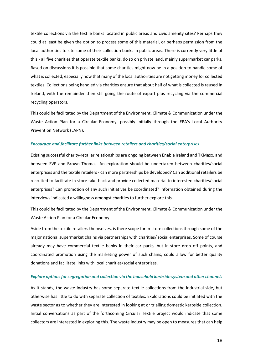textile collections via the textile banks located in public areas and civic amenity sites? Perhaps they could at least be given the option to process some of this material, or perhaps permission from the local authorities to site some of their collection banks in public areas. There is currently very little of this - all five charities that operate textile banks, do so on private land, mainly supermarket car parks. Based on discussions it is possible that some charities might now be in a position to handle some of what is collected, especially now that many of the local authorities are not getting money for collected textiles. Collections being handled via charities ensure that about half of what is collected is reused in Ireland, with the remainder then still going the route of export plus recycling via the commercial recycling operators.

This could be facilitated by the Department of the Environment, Climate & Communication under the Waste Action Plan for a Circular Economy, possibly initially through the EPA's Local Authority Prevention Network (LAPN).

#### *Encourage and facilitate further links between retailers and charities/social enterprises*

Existing successful charity-retailer relationships are ongoing between Enable Ireland and TKMaxx, and between SVP and Brown Thomas. An exploration should be undertaken between charities/social enterprises and the textile retailers - can more partnerships be developed? Can additional retailers be recruited to facilitate in-store take-back and provide collected material to interested charities/social enterprises? Can promotion of any such initiatives be coordinated? Information obtained during the interviews indicated a willingness amongst charities to further explore this.

This could be facilitated by the Department of the Environment, Climate & Communication under the Waste Action Plan for a Circular Economy.

Aside from the textile retailers themselves, is there scope for in-store collections through some of the major national supermarket chains via partnerships with charities/ social enterprises. Some of course already may have commercial textile banks in their car parks, but in-store drop off points, and coordinated promotion using the marketing power of such chains, could allow for better quality donations and facilitate links with local charities/social enterprises.

#### *Explore options for segregation and collection via the household kerbside system and other channels*

As it stands, the waste industry has some separate textile collections from the industrial side, but otherwise has little to do with separate collection of textiles. Explorations could be initiated with the waste sector as to whether they are interested in looking at or trialling domestic kerbside collection. Initial conversations as part of the forthcoming Circular Textile project would indicate that some collectors are interested in exploring this. The waste industry may be open to measures that can help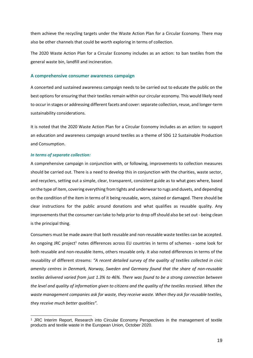them achieve the recycling targets under the Waste Action Plan for a Circular Economy. There may also be other channels that could be worth exploring in terms of collection.

The 2020 Waste Action Plan for a Circular Economy includes as an action: to ban textiles from the general waste bin, landfill and incineration.

#### **A comprehensive consumer awareness campaign**

A concerted and sustained awareness campaign needs to be carried out to educate the public on the best options for ensuring that their textiles remain within our circular economy. This would likely need to occur in stages or addressing different facets and cover: separate collection, reuse, and longer-term sustainability considerations.

It is noted that the 2020 Waste Action Plan for a Circular Economy includes as an action: to support an education and awareness campaign around textiles as a theme of SDG 12 Sustainable Production and Consumption.

#### *In terms of separate collection:*

-

A comprehensive campaign in conjunction with, or following, improvements to collection measures should be carried out. There is a need to develop this in conjunction with the charities, waste sector, and recyclers, setting out a simple, clear, transparent, consistent guide as to what goes where, based on the type of item, covering everything from tights and underwear to rugs and duvets, and depending on the condition of the item in terms of it being reusable, worn, stained or damaged. There should be clear instructions for the public around donations and what qualifies as reusable quality. Any improvements that the consumer can take to help prior to drop off should also be set out - being clean is the principal thing.

Consumers must be made aware that both reusable and non-reusable waste textiles can be accepted. An ongoing JRC project<sup>1</sup> notes differences across EU countries in terms of schemes - some look for both reusable and non-reusable items, others reusable only. It also noted differences in terms of the reusability of different streams: *"A recent detailed survey of the quality of textiles collected in civic amenity centres in Denmark, Norway, Sweden and Germany found that the share of non-reusable textiles delivered varied from just 1.3% to 46%. There was found to be a strong connection between the level and quality of information given to citizens and the quality of the textiles received. When the waste management companies ask for waste, they receive waste. When they ask for reusable textiles, they receive much better qualities".*

<sup>&</sup>lt;sup>1</sup> JRC Interim Report, Research into Circular Economy Perspectives in the management of textile products and textile waste in the European Union, October 2020.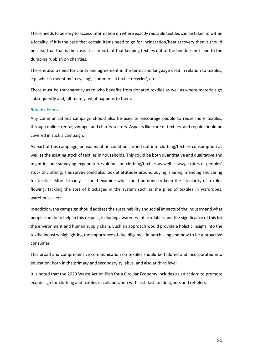There needs to be easy to access information on where exactly reusable textiles can be taken to within a locality. If it is the case that certain items need to go for incineration/heat recovery then it should be clear that that is the case. It is important that keeping textiles out of the bin does not lead to the dumping rubbish on charities.

There is also a need for clarity and agreement in the terms and language used in relation to textiles, e.g. what is meant by 'recycling', 'commercial textile recycler', etc.

There must be transparency as to who benefits from donated textiles as well as where materials go subsequently and, ultimately, what happens to them.

#### *Broader issues:*

Any communications campaign should also be used to encourage people to reuse more textiles, through online, rental, vintage, and charity sectors. Aspects like care of textiles, and repair should be covered in such a campaign.

As part of this campaign, an examination could be carried out into clothing/textiles consumption as well as the existing stock of textiles in households. This could be both quantitative and qualitative and might include surveying expenditure/volumes on clothing/textiles as well as usage rates of peoples' stock of clothing. This survey could also look at attitudes around buying, sharing, mending and caring for textiles. More broadly, it could examine what could be done to keep the circularity of textiles flowing, tackling the sort of blockages in the system such as the piles of textiles in wardrobes, warehouses, etc.

In addition, the campaign should address the sustainability and social impacts of the industry and what people can do to help in this respect, including awareness of eco-labels and the significance of this for the environment and human supply chain. Such an approach would provide a holistic insight into the textile industry highlighting the importance of due diligence in purchasing and how to be a proactive consumer.

This broad and comprehensive communication on textiles should be tailored and incorporated into education, both in the primary and secondary syllabus, and also at third level.

It is noted that the 2020 Waste Action Plan for a Circular Economy includes as an action: to promote eco-design for clothing and textiles in collaboration with Irish fashion designers and retailers.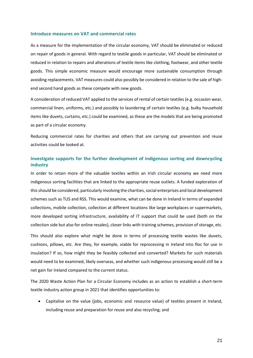#### **Introduce measures on VAT and commercial rates**

As a measure for the implementation of the circular economy, VAT should be eliminated or reduced on repair of goods in general. With regard to textile goods in particular, VAT should be eliminated or reduced in relation to repairs and alterations of textile items like clothing, footwear, and other textile goods. This simple economic measure would encourage more sustainable consumption through avoiding replacements. VAT measures could also possibly be considered in relation to the sale of highend second hand goods as these compete with new goods.

A consideration of reduced VAT applied to the services of rental of certain textiles (e.g. occasion wear, commercial linen, uniforms, etc.) and possibly to laundering of certain textiles (e.g. bulky household items like duvets, curtains, etc.) could be examined, as these are the models that are being promoted as part of a circular economy.

Reducing commercial rates for charities and others that are carrying out prevention and reuse activities could be looked at.

### **Investigate supports for the further development of indigenous sorting and downcycling industry**

In order to retain more of the valuable textiles within an Irish circular economy we need more indigenous sorting facilities that are linked to the appropriate reuse outlets. A funded exploration of this should be considered, particularly involving the charities, social enterprises and local development schemes such as TUS and RSS. This would examine, what can be done in Ireland in terms of expanded collections, mobile collection, collection at different locations like large workplaces or supermarkets, more developed sorting infrastructure, availability of IT support that could be used (both on the collection side but also for online resales), closer links with training schemes, provision of storage, etc.

This should also explore what might be done in terms of processing textile wastes like duvets, cushions, pillows, etc. Are they, for example, viable for reprocessing in Ireland into floc for use in insulation? If so, how might they be feasibly collected and converted? Markets for such materials would need to be examined, likely overseas, and whether such indigenous processing would still be a net gain for Ireland compared to the current status.

The 2020 Waste Action Plan for a Circular Economy includes as an action to establish a short-term textile industry action group in 2021 that identifies opportunities to:

• Capitalise on the value (jobs, economic and resource value) of textiles present in Ireland, including reuse and preparation for reuse and also recycling; and